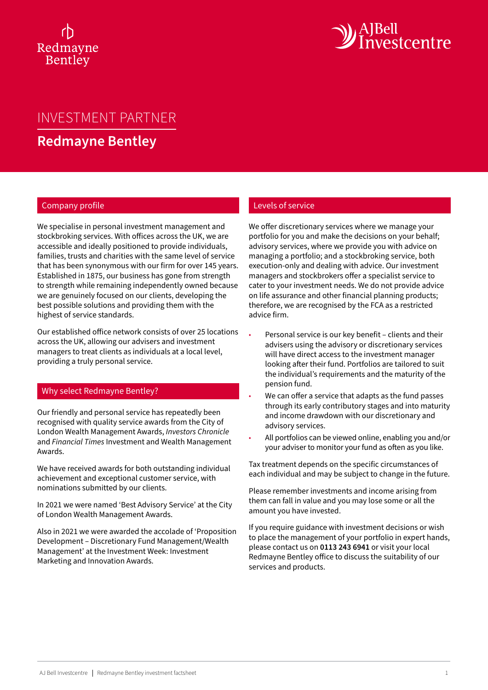# Redmayne Bentley



# INVESTMENT PARTNER

**Redmayne Bentley**

## Company profile

We specialise in personal investment management and stockbroking services. With offices across the UK, we are accessible and ideally positioned to provide individuals, families, trusts and charities with the same level of service that has been synonymous with our firm for over 145 years. Established in 1875, our business has gone from strength to strength while remaining independently owned because we are genuinely focused on our clients, developing the best possible solutions and providing them with the highest of service standards.

Our established office network consists of over 25 locations across the UK, allowing our advisers and investment managers to treat clients as individuals at a local level, providing a truly personal service.

#### Why select Redmayne Bentley?

Our friendly and personal service has repeatedly been recognised with quality service awards from the City of London Wealth Management Awards, *Investors Chronicle* and *Financial Times* Investment and Wealth Management Awards.

We have received awards for both outstanding individual achievement and exceptional customer service, with nominations submitted by our clients.

In 2021 we were named 'Best Advisory Service' at the City of London Wealth Management Awards.

Also in 2021 we were awarded the accolade of 'Proposition Development – Discretionary Fund Management/Wealth Management' at the Investment Week: Investment Marketing and Innovation Awards.

## Levels of service

We offer discretionary services where we manage your portfolio for you and make the decisions on your behalf; advisory services, where we provide you with advice on managing a portfolio; and a stockbroking service, both execution-only and dealing with advice. Our investment managers and stockbrokers offer a specialist service to cater to your investment needs. We do not provide advice on life assurance and other financial planning products; therefore, we are recognised by the FCA as a restricted advice firm.

- Personal service is our key benefit clients and their advisers using the advisory or discretionary services will have direct access to the investment manager looking after their fund. Portfolios are tailored to suit the individual's requirements and the maturity of the pension fund.
- We can offer a service that adapts as the fund passes through its early contributory stages and into maturity and income drawdown with our discretionary and advisory services.
- All portfolios can be viewed online, enabling you and/or your adviser to monitor your fund as often as you like.

Tax treatment depends on the specific circumstances of each individual and may be subject to change in the future.

Please remember investments and income arising from them can fall in value and you may lose some or all the amount you have invested.

If you require guidance with investment decisions or wish to place the management of your portfolio in expert hands, please contact us on **0113 243 6941** or visit your local Redmayne Bentley office to discuss the suitability of our services and products.